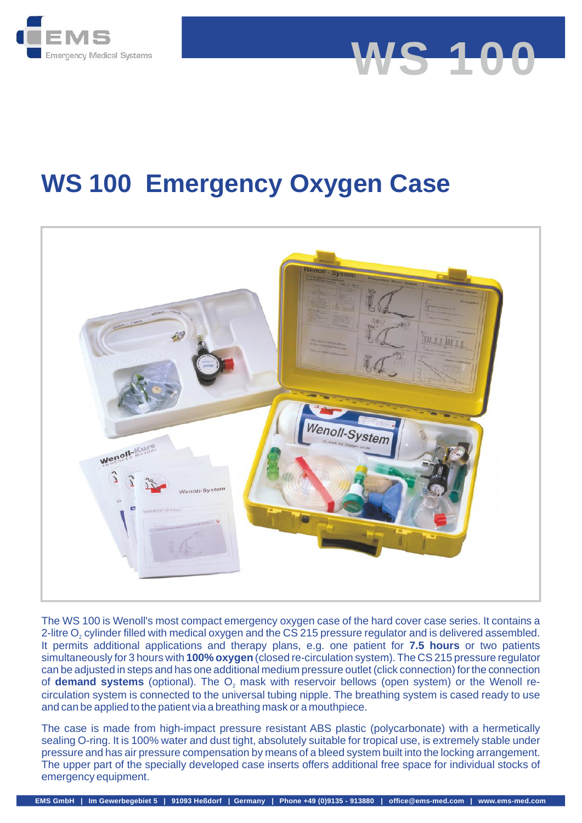

# **WS 100 Emergency Oxygen Case**

**WS 100**



The WS 100 is Wenoll's most compact emergency oxygen case of the hard cover case series. It contains a It permits additional applications and therapy plans, e.g. one patient for 7.5 hours or two patients simultaneously for 3 hours with **100% oxygen** (closed re-circulation system). The CS 215 pressure regulator can be adjusted in steps and has one additional medium pressure outlet (click connection) for the connection The WS 100 is Wenoll's most compact emergency oxygen case of the hard cover case series. It contains a<br>2-litre O<sub>2</sub> cylinder filled with medical oxygen and the CS 215 pressure regulator and is delivered assembled.<br>It perm circulation system is connected to the universal tubing nipple. The breathing system is cased ready to use and can be applied to the patient via a breathing mask or a mouthpiece. 2-litre O<sub>2</sub> cylinder filled with medical oxygen and the CS 215 pressure regulator and is delivered assembled. **demand systems** (optional). The O<sub>2</sub> mas

The case is made from high-impact pressure resistant ABS plastic (polycarbonate) with a hermetically sealing O-ring. It is 100% water and dust tight, absolutely suitable for tropical use, is extremely stable under pressure and has air pressure compensation by means of a bleed system built into the locking arrangement. The upper part of the specially developed case inserts offers additional free space for individual stocks of emergency equipment.